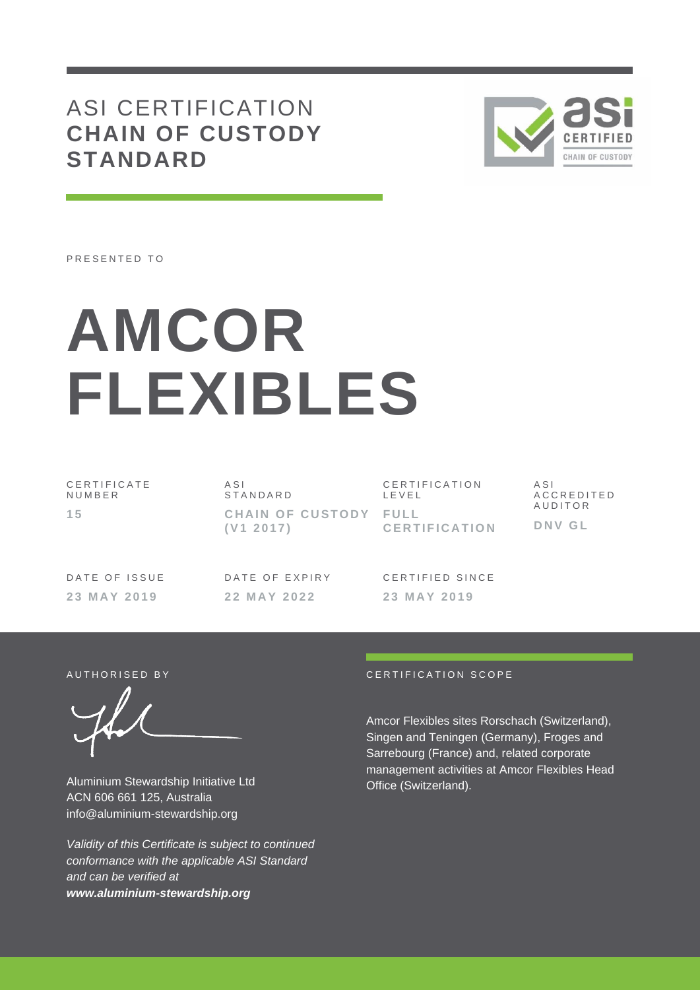## ASI CERTIFICATION **CHAIN OF CUSTODY STANDARD**



PRESENTED TO

# **AMCOR FLEXIBLES**

C E R T I F I C A T E N U M B E R **1 5**

A S I **STANDARD CHAIN OF CUSTODY FULL ( V1 2 0 1 7 )**

C E R T I F I C A T I O N L E V E L **C E R T I F I C A T I O N**

A S I A C C R E D I T E D **AUDITOR D N V G L**

DATE OF ISSUE **2 3 M A Y 2 0 1 9**

DATE OF EXPIRY **2 2 M A Y 2 0 2 2**

CERTIFIED SINCE **2 3 M A Y 2 0 1 9**

Aluminium Stewardship Initiative Ltd ACN 606 661 125, Australia info@aluminium-stewardship.org

*Validity of this Certificate is subject to continued conformance with the applicable ASI Standard and can be verified at www.aluminium-stewardship.org*

#### AUTHORISED BY **EXAMPLE A TELEVISION SCOPE**

Amcor Flexibles sites Rorschach (Switzerland), Singen and Teningen (Germany), Froges and Sarrebourg (France) and, related corporate management activities at Amcor Flexibles Head Office (Switzerland).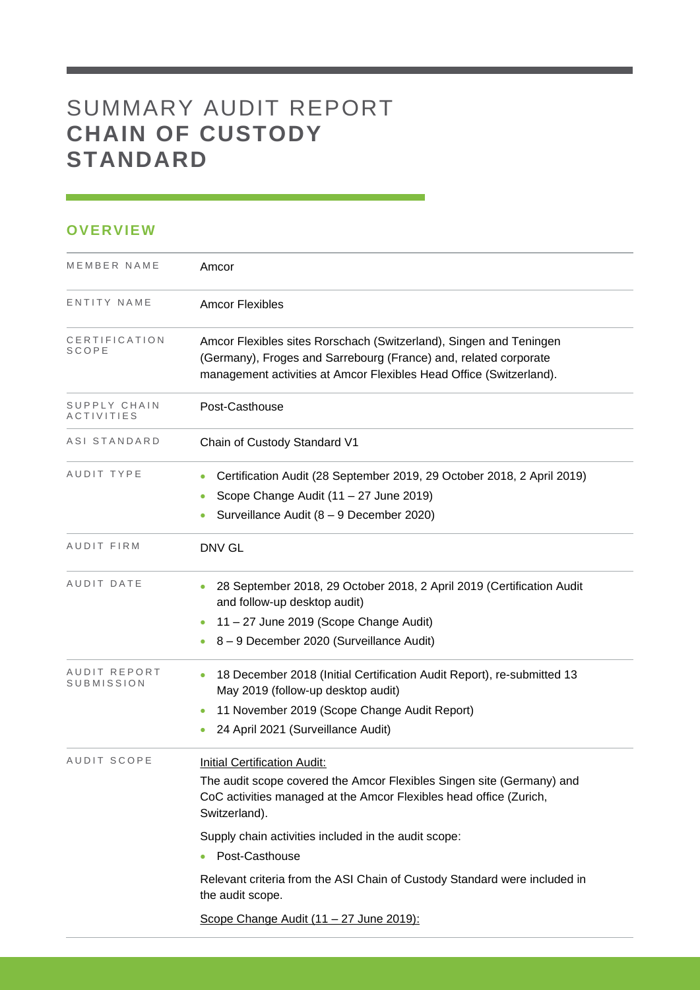# SUMMARY AUDIT REPORT **CHAIN OF CUSTODY STANDARD**

### **OVERVIEW**

| MEMBER NAME                       | Amcor                                                                                                                                                                                                                                                                                                                                                                          |
|-----------------------------------|--------------------------------------------------------------------------------------------------------------------------------------------------------------------------------------------------------------------------------------------------------------------------------------------------------------------------------------------------------------------------------|
| ENTITY NAME                       | <b>Amcor Flexibles</b>                                                                                                                                                                                                                                                                                                                                                         |
| CERTIFICATION<br>SCOPE            | Amcor Flexibles sites Rorschach (Switzerland), Singen and Teningen<br>(Germany), Froges and Sarrebourg (France) and, related corporate<br>management activities at Amcor Flexibles Head Office (Switzerland).                                                                                                                                                                  |
| SUPPLY CHAIN<br><i>ACTIVITIES</i> | Post-Casthouse                                                                                                                                                                                                                                                                                                                                                                 |
| ASI STANDARD                      | Chain of Custody Standard V1                                                                                                                                                                                                                                                                                                                                                   |
| AUDIT TYPE                        | Certification Audit (28 September 2019, 29 October 2018, 2 April 2019)<br>Scope Change Audit (11 - 27 June 2019)<br>Surveillance Audit (8 - 9 December 2020)                                                                                                                                                                                                                   |
| AUDIT FIRM                        | DNV GL                                                                                                                                                                                                                                                                                                                                                                         |
| AUDIT DATE                        | 28 September 2018, 29 October 2018, 2 April 2019 (Certification Audit<br>and follow-up desktop audit)<br>11 - 27 June 2019 (Scope Change Audit)<br>8 - 9 December 2020 (Surveillance Audit)                                                                                                                                                                                    |
| AUDIT REPORT<br>SUBMISSION        | 18 December 2018 (Initial Certification Audit Report), re-submitted 13<br>May 2019 (follow-up desktop audit)<br>11 November 2019 (Scope Change Audit Report)<br>$\bullet$<br>24 April 2021 (Surveillance Audit)                                                                                                                                                                |
| AUDIT SCOPE                       | <b>Initial Certification Audit:</b><br>The audit scope covered the Amcor Flexibles Singen site (Germany) and<br>CoC activities managed at the Amcor Flexibles head office (Zurich,<br>Switzerland).<br>Supply chain activities included in the audit scope:<br>Post-Casthouse<br>Relevant criteria from the ASI Chain of Custody Standard were included in<br>the audit scope. |
|                                   | Scope Change Audit (11 - 27 June 2019):                                                                                                                                                                                                                                                                                                                                        |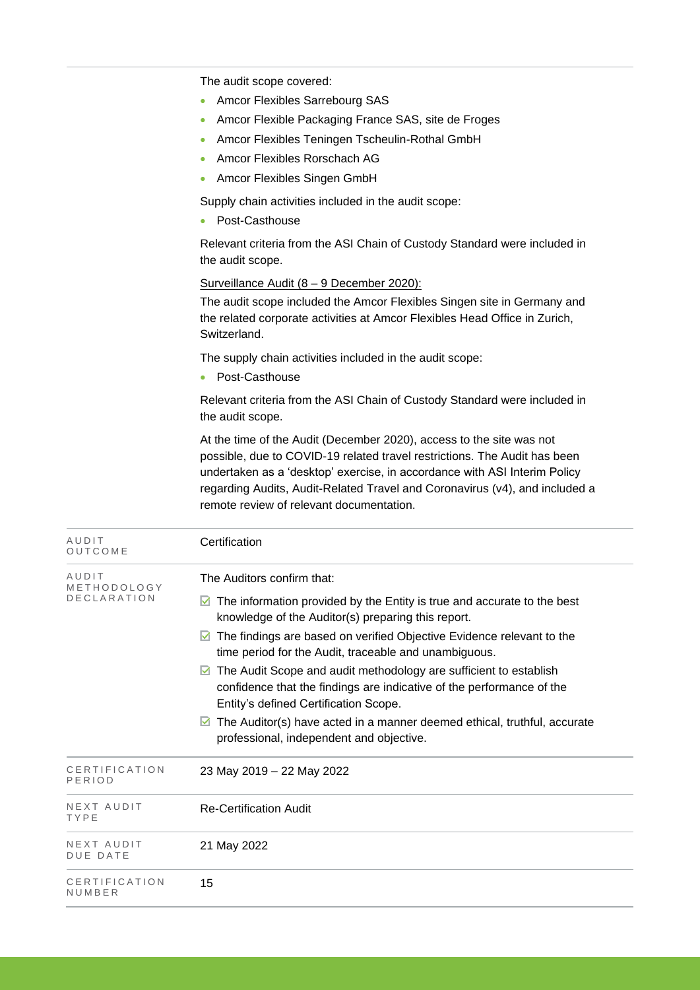The audit scope covered:

- Amcor Flexibles Sarrebourg SAS
- Amcor Flexible Packaging France SAS, site de Froges
- Amcor Flexibles Teningen Tscheulin-Rothal GmbH
- Amcor Flexibles Rorschach AG
- Amcor Flexibles Singen GmbH

Supply chain activities included in the audit scope:

• Post-Casthouse

Relevant criteria from the ASI Chain of Custody Standard were included in the audit scope.

#### Surveillance Audit (8 - 9 December 2020):

The audit scope included the Amcor Flexibles Singen site in Germany and the related corporate activities at Amcor Flexibles Head Office in Zurich, Switzerland.

The supply chain activities included in the audit scope:

• Post-Casthouse

Relevant criteria from the ASI Chain of Custody Standard were included in the audit scope.

At the time of the Audit (December 2020), access to the site was not possible, due to COVID-19 related travel restrictions. The Audit has been undertaken as a 'desktop' exercise, in accordance with ASI Interim Policy regarding Audits, Audit-Related Travel and Coronavirus (v4), and included a remote review of relevant documentation.

| AUDIT<br>OUTCOME                           | Certification                                                                                                                                                                                                                                                                                                                                                                                                                                                                                                                                                                                                               |
|--------------------------------------------|-----------------------------------------------------------------------------------------------------------------------------------------------------------------------------------------------------------------------------------------------------------------------------------------------------------------------------------------------------------------------------------------------------------------------------------------------------------------------------------------------------------------------------------------------------------------------------------------------------------------------------|
| AUDIT<br>METHODOLOGY<br><b>DECLARATION</b> | The Auditors confirm that:<br>The information provided by the Entity is true and accurate to the best<br>M<br>knowledge of the Auditor(s) preparing this report.<br>The findings are based on verified Objective Evidence relevant to the<br>time period for the Audit, traceable and unambiguous.<br>The Audit Scope and audit methodology are sufficient to establish<br>M<br>confidence that the findings are indicative of the performance of the<br>Entity's defined Certification Scope.<br>The Auditor(s) have acted in a manner deemed ethical, truthful, accurate<br>М<br>professional, independent and objective. |
| CERTIFICATION<br>PERIOD                    | 23 May 2019 - 22 May 2022                                                                                                                                                                                                                                                                                                                                                                                                                                                                                                                                                                                                   |
| NEXT AUDIT<br>TYPE                         | <b>Re-Certification Audit</b>                                                                                                                                                                                                                                                                                                                                                                                                                                                                                                                                                                                               |
| NEXT AUDIT<br><b>DUE DATE</b>              | 21 May 2022                                                                                                                                                                                                                                                                                                                                                                                                                                                                                                                                                                                                                 |
| CERTIFICATION<br>NUMBER                    | 15                                                                                                                                                                                                                                                                                                                                                                                                                                                                                                                                                                                                                          |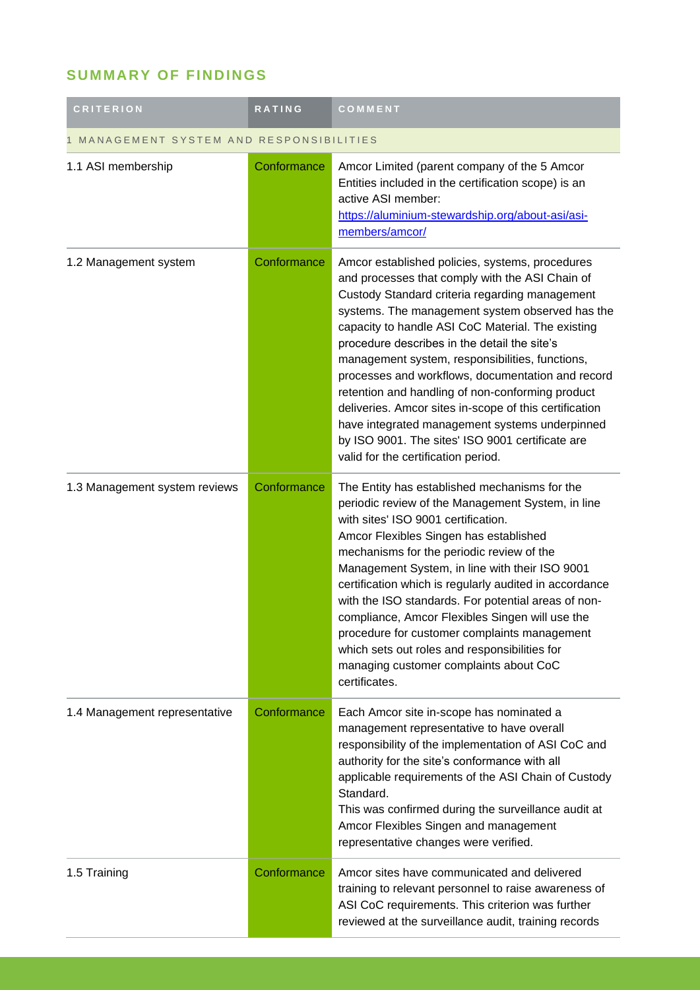## **SUMMARY OF FINDINGS**

| <b>CRITERION</b>                            | <b>RATING</b> | COMMENT                                                                                                                                                                                                                                                                                                                                                                                                                                                                                                                                                                                                                                                                         |  |
|---------------------------------------------|---------------|---------------------------------------------------------------------------------------------------------------------------------------------------------------------------------------------------------------------------------------------------------------------------------------------------------------------------------------------------------------------------------------------------------------------------------------------------------------------------------------------------------------------------------------------------------------------------------------------------------------------------------------------------------------------------------|--|
| MANAGEMENT SYSTEM AND RESPONSIBILITIES<br>1 |               |                                                                                                                                                                                                                                                                                                                                                                                                                                                                                                                                                                                                                                                                                 |  |
| 1.1 ASI membership                          | Conformance   | Amcor Limited (parent company of the 5 Amcor<br>Entities included in the certification scope) is an<br>active ASI member:<br>https://aluminium-stewardship.org/about-asi/asi-<br>members/amcor/                                                                                                                                                                                                                                                                                                                                                                                                                                                                                 |  |
| 1.2 Management system                       | Conformance   | Amcor established policies, systems, procedures<br>and processes that comply with the ASI Chain of<br>Custody Standard criteria regarding management<br>systems. The management system observed has the<br>capacity to handle ASI CoC Material. The existing<br>procedure describes in the detail the site's<br>management system, responsibilities, functions,<br>processes and workflows, documentation and record<br>retention and handling of non-conforming product<br>deliveries. Amcor sites in-scope of this certification<br>have integrated management systems underpinned<br>by ISO 9001. The sites' ISO 9001 certificate are<br>valid for the certification period. |  |
| 1.3 Management system reviews               | Conformance   | The Entity has established mechanisms for the<br>periodic review of the Management System, in line<br>with sites' ISO 9001 certification.<br>Amcor Flexibles Singen has established<br>mechanisms for the periodic review of the<br>Management System, in line with their ISO 9001<br>certification which is regularly audited in accordance<br>with the ISO standards. For potential areas of non-<br>compliance, Amcor Flexibles Singen will use the<br>procedure for customer complaints management<br>which sets out roles and responsibilities for<br>managing customer complaints about CoC<br>certificates.                                                              |  |
| 1.4 Management representative               | Conformance   | Each Amcor site in-scope has nominated a<br>management representative to have overall<br>responsibility of the implementation of ASI CoC and<br>authority for the site's conformance with all<br>applicable requirements of the ASI Chain of Custody<br>Standard.<br>This was confirmed during the surveillance audit at<br>Amcor Flexibles Singen and management<br>representative changes were verified.                                                                                                                                                                                                                                                                      |  |
| 1.5 Training                                | Conformance   | Amcor sites have communicated and delivered<br>training to relevant personnel to raise awareness of<br>ASI CoC requirements. This criterion was further<br>reviewed at the surveillance audit, training records                                                                                                                                                                                                                                                                                                                                                                                                                                                                 |  |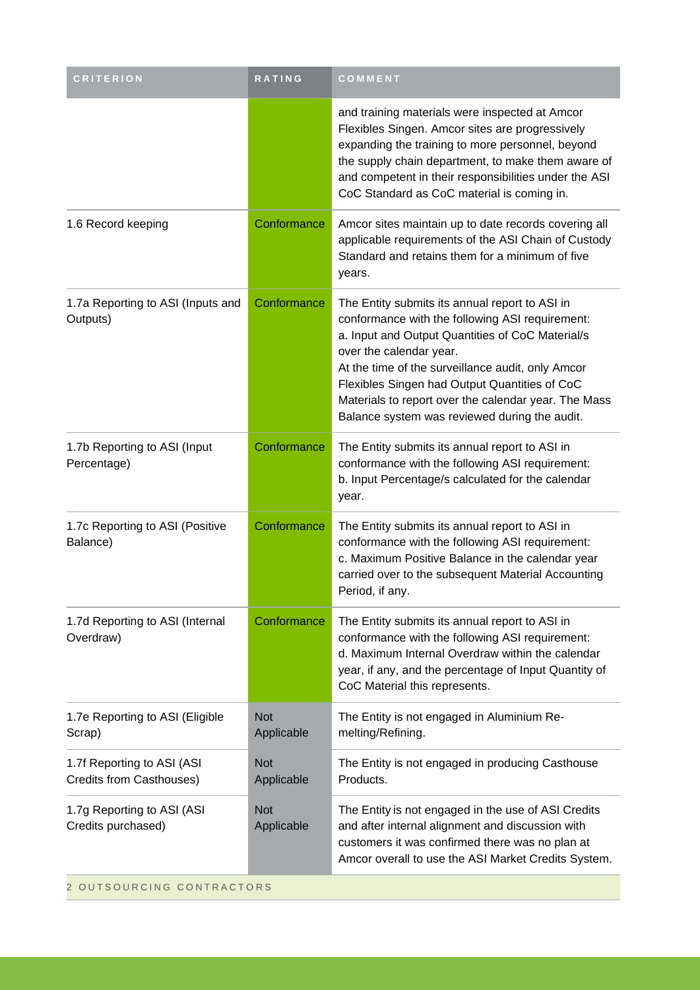| <b>CRITERION</b>                                       | RATING                   | COMMENT                                                                                                                                                                                                                                                                                                                                                                                         |
|--------------------------------------------------------|--------------------------|-------------------------------------------------------------------------------------------------------------------------------------------------------------------------------------------------------------------------------------------------------------------------------------------------------------------------------------------------------------------------------------------------|
|                                                        |                          | and training materials were inspected at Amcor<br>Flexibles Singen. Amcor sites are progressively<br>expanding the training to more personnel, beyond<br>the supply chain department, to make them aware of<br>and competent in their responsibilities under the ASI<br>CoC Standard as CoC material is coming in.                                                                              |
| 1.6 Record keeping                                     | Conformance              | Amcor sites maintain up to date records covering all<br>applicable requirements of the ASI Chain of Custody<br>Standard and retains them for a minimum of five<br>years.                                                                                                                                                                                                                        |
| 1.7a Reporting to ASI (Inputs and<br>Outputs)          | Conformance              | The Entity submits its annual report to ASI in<br>conformance with the following ASI requirement:<br>a. Input and Output Quantities of CoC Material/s<br>over the calendar year.<br>At the time of the surveillance audit, only Amcor<br>Flexibles Singen had Output Quantities of CoC<br>Materials to report over the calendar year. The Mass<br>Balance system was reviewed during the audit. |
| 1.7b Reporting to ASI (Input<br>Percentage)            | Conformance              | The Entity submits its annual report to ASI in<br>conformance with the following ASI requirement:<br>b. Input Percentage/s calculated for the calendar<br>year.                                                                                                                                                                                                                                 |
| 1.7c Reporting to ASI (Positive<br>Balance)            | Conformance              | The Entity submits its annual report to ASI in<br>conformance with the following ASI requirement:<br>c. Maximum Positive Balance in the calendar year<br>carried over to the subsequent Material Accounting<br>Period, if any.                                                                                                                                                                  |
| 1.7d Reporting to ASI (Internal<br>Overdraw)           | Conformance              | The Entity submits its annual report to ASI in<br>conformance with the following ASI requirement:<br>d. Maximum Internal Overdraw within the calendar<br>year, if any, and the percentage of Input Quantity of<br>CoC Material this represents.                                                                                                                                                 |
| 1.7e Reporting to ASI (Eligible<br>Scrap)              | <b>Not</b><br>Applicable | The Entity is not engaged in Aluminium Re-<br>melting/Refining.                                                                                                                                                                                                                                                                                                                                 |
| 1.7f Reporting to ASI (ASI<br>Credits from Casthouses) | <b>Not</b><br>Applicable | The Entity is not engaged in producing Casthouse<br>Products.                                                                                                                                                                                                                                                                                                                                   |
| 1.7g Reporting to ASI (ASI<br>Credits purchased)       | <b>Not</b><br>Applicable | The Entity is not engaged in the use of ASI Credits<br>and after internal alignment and discussion with<br>customers it was confirmed there was no plan at<br>Amcor overall to use the ASI Market Credits System.                                                                                                                                                                               |
| 2 OUTSOURCING CONTRACTORS                              |                          |                                                                                                                                                                                                                                                                                                                                                                                                 |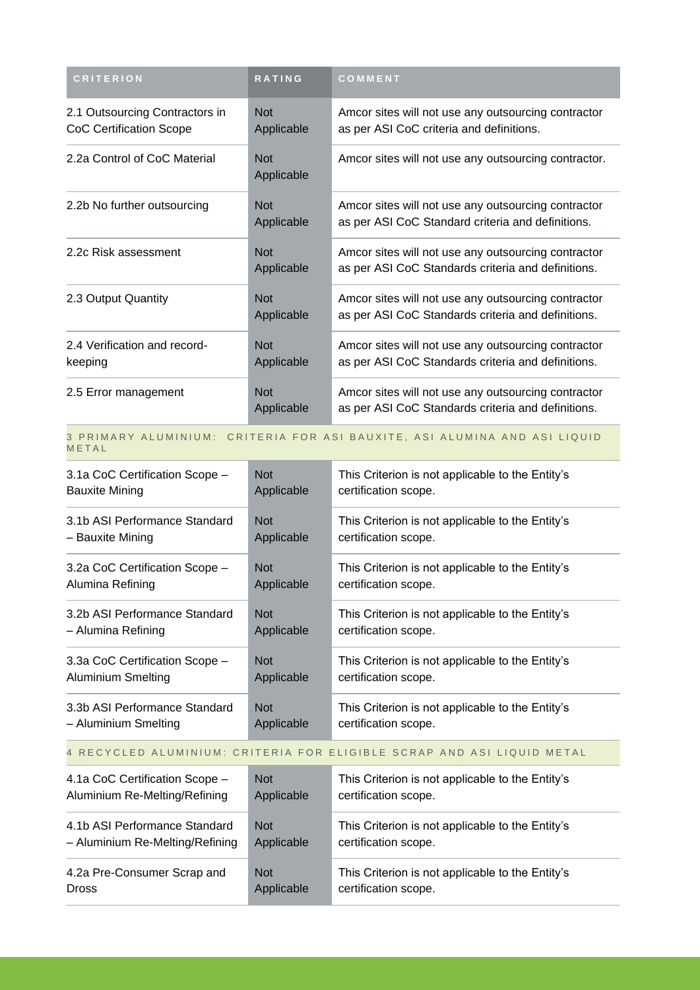| <b>CRITERION</b>                                                 | <b>RATING</b>            | COMMENT                                                                                                   |
|------------------------------------------------------------------|--------------------------|-----------------------------------------------------------------------------------------------------------|
| 2.1 Outsourcing Contractors in<br><b>CoC Certification Scope</b> | <b>Not</b><br>Applicable | Amcor sites will not use any outsourcing contractor<br>as per ASI CoC criteria and definitions.           |
| 2.2a Control of CoC Material                                     | <b>Not</b><br>Applicable | Amcor sites will not use any outsourcing contractor.                                                      |
| 2.2b No further outsourcing                                      | <b>Not</b><br>Applicable | Amcor sites will not use any outsourcing contractor<br>as per ASI CoC Standard criteria and definitions.  |
| 2.2c Risk assessment                                             | <b>Not</b><br>Applicable | Amcor sites will not use any outsourcing contractor<br>as per ASI CoC Standards criteria and definitions. |
| 2.3 Output Quantity                                              | <b>Not</b><br>Applicable | Amcor sites will not use any outsourcing contractor<br>as per ASI CoC Standards criteria and definitions. |
| 2.4 Verification and record-<br>keeping                          | <b>Not</b><br>Applicable | Amcor sites will not use any outsourcing contractor<br>as per ASI CoC Standards criteria and definitions. |
| 2.5 Error management                                             | <b>Not</b><br>Applicable | Amcor sites will not use any outsourcing contractor<br>as per ASI CoC Standards criteria and definitions. |

#### 3 PRIMARY ALUMINIUM: CRITERIA FOR ASI BAUXITE, ASI ALUMINA AND ASI LIQUID **METAL**

| 3.1a CoC Certification Scope - | <b>Not</b> | This Criterion is not applicable to the Entity's |
|--------------------------------|------------|--------------------------------------------------|
| <b>Bauxite Mining</b>          | Applicable | certification scope.                             |
| 3.1b ASI Performance Standard  | <b>Not</b> | This Criterion is not applicable to the Entity's |
| – Bauxite Mining               | Applicable | certification scope.                             |
| 3.2a CoC Certification Scope - | <b>Not</b> | This Criterion is not applicable to the Entity's |
| Alumina Refining               | Applicable | certification scope.                             |
| 3.2b ASI Performance Standard  | <b>Not</b> | This Criterion is not applicable to the Entity's |
| - Alumina Refining             | Applicable | certification scope.                             |
| 3.3a CoC Certification Scope - | <b>Not</b> | This Criterion is not applicable to the Entity's |
| <b>Aluminium Smelting</b>      | Applicable | certification scope.                             |
| 3.3b ASI Performance Standard  | <b>Not</b> | This Criterion is not applicable to the Entity's |
| – Aluminium Smelting           | Applicable | certification scope.                             |

#### 4 RECYCLED ALUMINIUM: CRITERIA FOR ELIGIBLE SCRAP AND ASI LIQUID METAL

| 4.1a CoC Certification Scope -  | <b>Not</b> | This Criterion is not applicable to the Entity's |
|---------------------------------|------------|--------------------------------------------------|
| Aluminium Re-Melting/Refining   | Applicable | certification scope.                             |
| 4.1b ASI Performance Standard   | <b>Not</b> | This Criterion is not applicable to the Entity's |
| - Aluminium Re-Melting/Refining | Applicable | certification scope.                             |
| 4.2a Pre-Consumer Scrap and     | <b>Not</b> | This Criterion is not applicable to the Entity's |
| <b>Dross</b>                    | Applicable | certification scope.                             |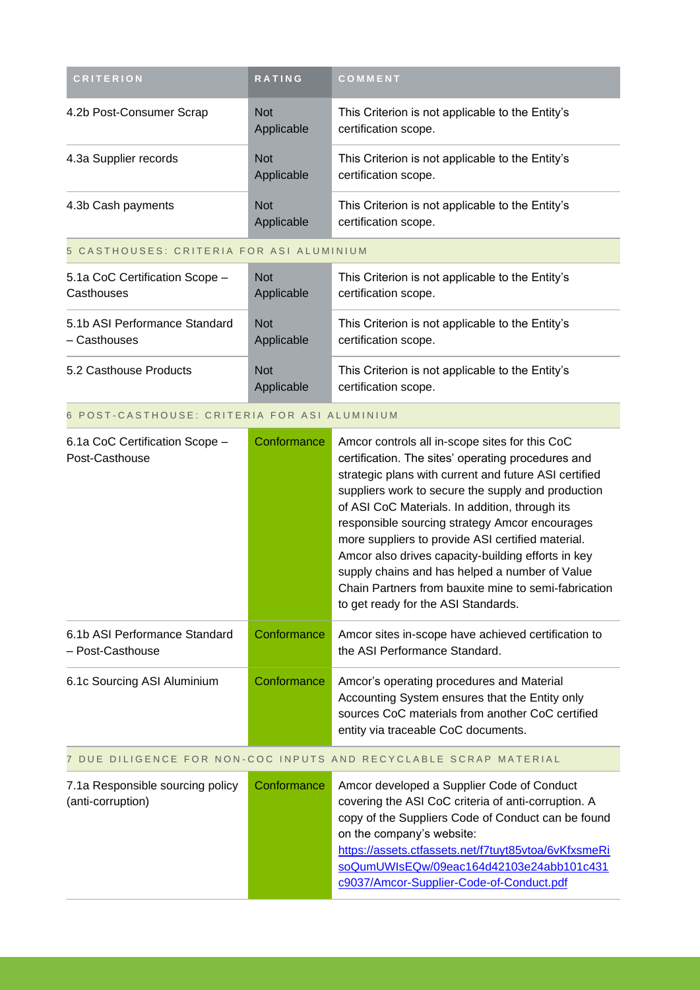| <b>CRITERION</b>         | <b>RATING</b>                   | COMMENT                                                                  |
|--------------------------|---------------------------------|--------------------------------------------------------------------------|
| 4.2b Post-Consumer Scrap | <b>Not</b><br>Applicable        | This Criterion is not applicable to the Entity's<br>certification scope. |
| 4.3a Supplier records    | <b>Not</b><br>Applicable        | This Criterion is not applicable to the Entity's<br>certification scope. |
| 4.3b Cash payments       | <b>Not</b><br><b>Applicable</b> | This Criterion is not applicable to the Entity's<br>certification scope. |

#### 5 CASTHOUSES: CRITERIA FOR ASI ALUMINIUM

| 5.1a CoC Certification Scope - | <b>Not</b>               | This Criterion is not applicable to the Entity's                         |
|--------------------------------|--------------------------|--------------------------------------------------------------------------|
| Casthouses                     | Applicable               | certification scope.                                                     |
| 5.1b ASI Performance Standard  | <b>Not</b>               | This Criterion is not applicable to the Entity's                         |
| - Casthouses                   | Applicable               | certification scope.                                                     |
| 5.2 Casthouse Products         | <b>Not</b><br>Applicable | This Criterion is not applicable to the Entity's<br>certification scope. |

#### 6 POST-CASTHOUSE: CRITERIA FOR ASI ALUMINIUM

| 6.1a CoC Certification Scope -<br>Post-Casthouse      | Conformance | Amcor controls all in-scope sites for this CoC<br>certification. The sites' operating procedures and<br>strategic plans with current and future ASI certified<br>suppliers work to secure the supply and production                                                                                                                                          |
|-------------------------------------------------------|-------------|--------------------------------------------------------------------------------------------------------------------------------------------------------------------------------------------------------------------------------------------------------------------------------------------------------------------------------------------------------------|
|                                                       |             | of ASI CoC Materials. In addition, through its<br>responsible sourcing strategy Amcor encourages<br>more suppliers to provide ASI certified material.<br>Amcor also drives capacity-building efforts in key<br>supply chains and has helped a number of Value<br>Chain Partners from bauxite mine to semi-fabrication<br>to get ready for the ASI Standards. |
| 6.1b ASI Performance Standard<br>- Post-Casthouse     | Conformance | Amcor sites in-scope have achieved certification to<br>the ASI Performance Standard.                                                                                                                                                                                                                                                                         |
| 6.1c Sourcing ASI Aluminium                           | Conformance | Amcor's operating procedures and Material<br>Accounting System ensures that the Entity only<br>sources CoC materials from another CoC certified<br>entity via traceable CoC documents.                                                                                                                                                                       |
|                                                       |             | 7 DUE DILIGENCE FOR NON-COC INPUTS AND RECYCLABLE SCRAP MATERIAL                                                                                                                                                                                                                                                                                             |
| 7.1a Responsible sourcing policy<br>(anti-corruption) | Conformance | Amcor developed a Supplier Code of Conduct<br>covering the ASI CoC criteria of anti-corruption. A<br>copy of the Suppliers Code of Conduct can be found<br>on the company's website:<br>https://assets.ctfassets.net/f7tuyt85vtoa/6vKfxsmeRi                                                                                                                 |

[soQumUWIsEQw/09eac164d42103e24abb101c431](https://assets.ctfassets.net/f7tuyt85vtoa/6vKfxsmeRisoQumUWIsEQw/09eac164d42103e24abb101c431c9037/Amcor-Supplier-Code-of-Conduct.pdf) [c9037/Amcor-Supplier-Code-of-Conduct.pdf](https://assets.ctfassets.net/f7tuyt85vtoa/6vKfxsmeRisoQumUWIsEQw/09eac164d42103e24abb101c431c9037/Amcor-Supplier-Code-of-Conduct.pdf)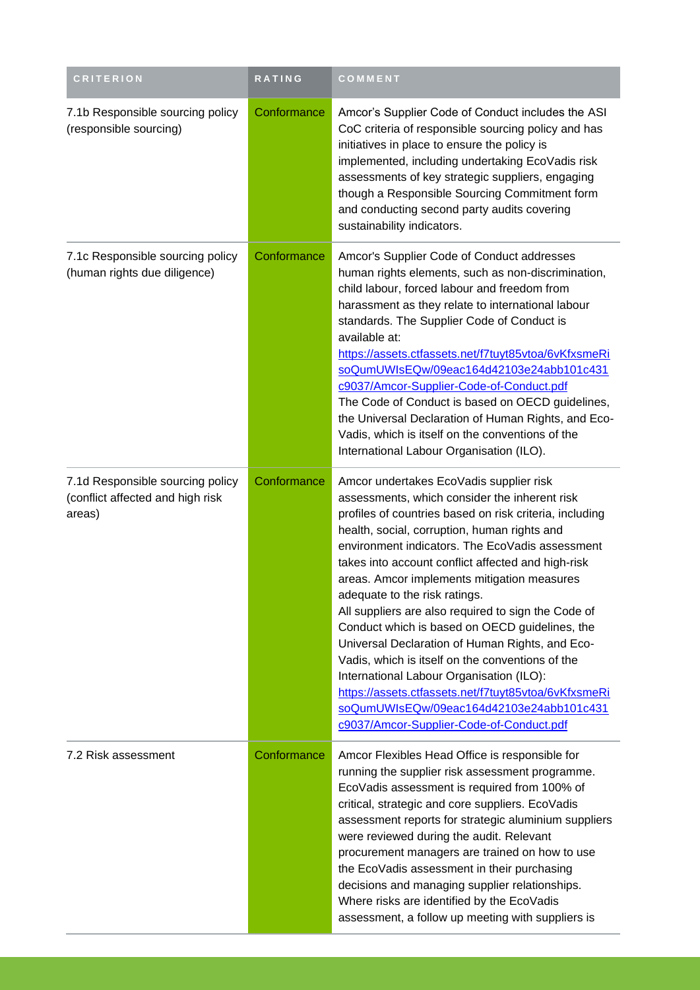| <b>CRITERION</b>                                                               | <b>RATING</b> | COMMENT                                                                                                                                                                                                                                                                                                                                                                                                                                                                                                                                                                                                                                                                                                                                                                                                  |  |
|--------------------------------------------------------------------------------|---------------|----------------------------------------------------------------------------------------------------------------------------------------------------------------------------------------------------------------------------------------------------------------------------------------------------------------------------------------------------------------------------------------------------------------------------------------------------------------------------------------------------------------------------------------------------------------------------------------------------------------------------------------------------------------------------------------------------------------------------------------------------------------------------------------------------------|--|
| 7.1b Responsible sourcing policy<br>(responsible sourcing)                     | Conformance   | Amcor's Supplier Code of Conduct includes the ASI<br>CoC criteria of responsible sourcing policy and has<br>initiatives in place to ensure the policy is<br>implemented, including undertaking EcoVadis risk<br>assessments of key strategic suppliers, engaging<br>though a Responsible Sourcing Commitment form<br>and conducting second party audits covering<br>sustainability indicators.                                                                                                                                                                                                                                                                                                                                                                                                           |  |
| 7.1c Responsible sourcing policy<br>(human rights due diligence)               | Conformance   | Amcor's Supplier Code of Conduct addresses<br>human rights elements, such as non-discrimination,<br>child labour, forced labour and freedom from<br>harassment as they relate to international labour<br>standards. The Supplier Code of Conduct is<br>available at:<br>https://assets.ctfassets.net/f7tuyt85vtoa/6vKfxsmeRi<br>soQumUWIsEQw/09eac164d42103e24abb101c431<br>c9037/Amcor-Supplier-Code-of-Conduct.pdf<br>The Code of Conduct is based on OECD guidelines,<br>the Universal Declaration of Human Rights, and Eco-<br>Vadis, which is itself on the conventions of the<br>International Labour Organisation (ILO).                                                                                                                                                                          |  |
| 7.1d Responsible sourcing policy<br>(conflict affected and high risk<br>areas) | Conformance   | Amcor undertakes EcoVadis supplier risk<br>assessments, which consider the inherent risk<br>profiles of countries based on risk criteria, including<br>health, social, corruption, human rights and<br>environment indicators. The EcoVadis assessment<br>takes into account conflict affected and high-risk<br>areas. Amcor implements mitigation measures<br>adequate to the risk ratings.<br>All suppliers are also required to sign the Code of<br>Conduct which is based on OECD guidelines, the<br>Universal Declaration of Human Rights, and Eco-<br>Vadis, which is itself on the conventions of the<br>International Labour Organisation (ILO):<br>https://assets.ctfassets.net/f7tuyt85vtoa/6vKfxsmeRi<br>soQumUWIsEQw/09eac164d42103e24abb101c431<br>c9037/Amcor-Supplier-Code-of-Conduct.pdf |  |
| 7.2 Risk assessment                                                            | Conformance   | Amcor Flexibles Head Office is responsible for<br>running the supplier risk assessment programme.<br>EcoVadis assessment is required from 100% of<br>critical, strategic and core suppliers. EcoVadis<br>assessment reports for strategic aluminium suppliers<br>were reviewed during the audit. Relevant<br>procurement managers are trained on how to use<br>the EcoVadis assessment in their purchasing<br>decisions and managing supplier relationships.<br>Where risks are identified by the EcoVadis<br>assessment, a follow up meeting with suppliers is                                                                                                                                                                                                                                          |  |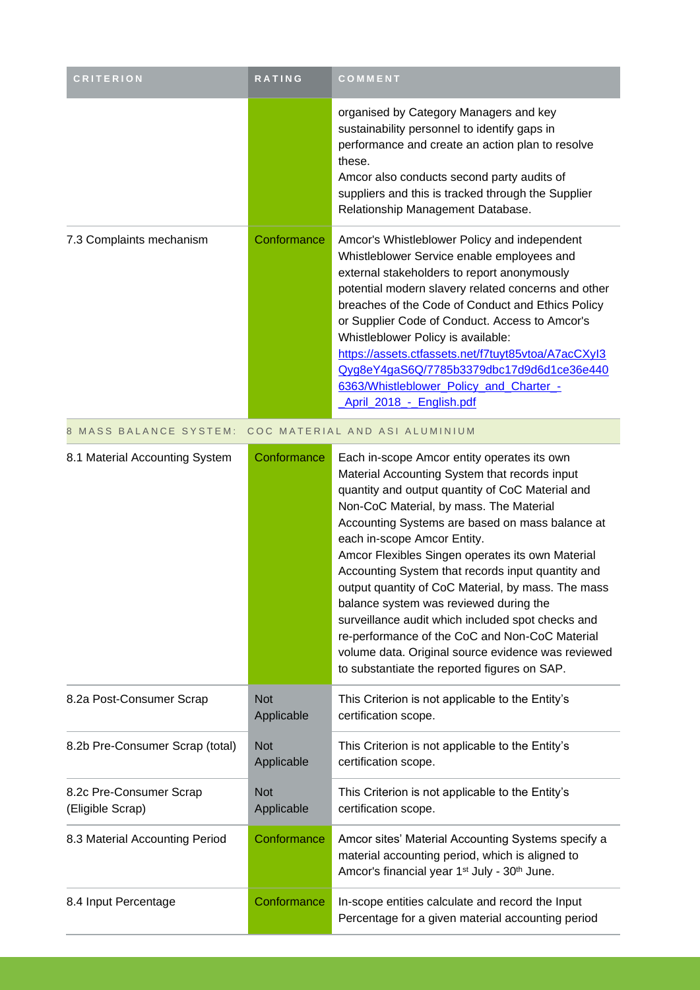| <b>CRITERION</b>                            | RATING                   | COMMENT                                                                                                                                                                                                                                                                                                                                                                                                                                                                                                                                                                                                                                                                                             |
|---------------------------------------------|--------------------------|-----------------------------------------------------------------------------------------------------------------------------------------------------------------------------------------------------------------------------------------------------------------------------------------------------------------------------------------------------------------------------------------------------------------------------------------------------------------------------------------------------------------------------------------------------------------------------------------------------------------------------------------------------------------------------------------------------|
|                                             |                          | organised by Category Managers and key<br>sustainability personnel to identify gaps in<br>performance and create an action plan to resolve<br>these.<br>Amcor also conducts second party audits of<br>suppliers and this is tracked through the Supplier<br>Relationship Management Database.                                                                                                                                                                                                                                                                                                                                                                                                       |
| 7.3 Complaints mechanism                    | Conformance              | Amcor's Whistleblower Policy and independent<br>Whistleblower Service enable employees and<br>external stakeholders to report anonymously<br>potential modern slavery related concerns and other<br>breaches of the Code of Conduct and Ethics Policy<br>or Supplier Code of Conduct. Access to Amcor's<br>Whistleblower Policy is available:<br>https://assets.ctfassets.net/f7tuyt85vtoa/A7acCXyl3<br>Qyg8eY4gaS6Q/7785b3379dbc17d9d6d1ce36e440<br>6363/Whistleblower_Policy_and_Charter_-<br>April 2018 - English.pdf                                                                                                                                                                            |
| 8 MASS BALANCE SYSTEM:                      |                          | COC MATERIAL AND ASI ALUMINIUM                                                                                                                                                                                                                                                                                                                                                                                                                                                                                                                                                                                                                                                                      |
| 8.1 Material Accounting System              | Conformance              | Each in-scope Amcor entity operates its own<br>Material Accounting System that records input<br>quantity and output quantity of CoC Material and<br>Non-CoC Material, by mass. The Material<br>Accounting Systems are based on mass balance at<br>each in-scope Amcor Entity.<br>Amcor Flexibles Singen operates its own Material<br>Accounting System that records input quantity and<br>output quantity of CoC Material, by mass. The mass<br>balance system was reviewed during the<br>surveillance audit which included spot checks and<br>re-performance of the CoC and Non-CoC Material<br>volume data. Original source evidence was reviewed<br>to substantiate the reported figures on SAP. |
| 8.2a Post-Consumer Scrap                    | <b>Not</b><br>Applicable | This Criterion is not applicable to the Entity's<br>certification scope.                                                                                                                                                                                                                                                                                                                                                                                                                                                                                                                                                                                                                            |
| 8.2b Pre-Consumer Scrap (total)             | <b>Not</b><br>Applicable | This Criterion is not applicable to the Entity's<br>certification scope.                                                                                                                                                                                                                                                                                                                                                                                                                                                                                                                                                                                                                            |
| 8.2c Pre-Consumer Scrap<br>(Eligible Scrap) | <b>Not</b><br>Applicable | This Criterion is not applicable to the Entity's<br>certification scope.                                                                                                                                                                                                                                                                                                                                                                                                                                                                                                                                                                                                                            |
| 8.3 Material Accounting Period              | Conformance              | Amcor sites' Material Accounting Systems specify a<br>material accounting period, which is aligned to<br>Amcor's financial year 1 <sup>st</sup> July - 30 <sup>th</sup> June.                                                                                                                                                                                                                                                                                                                                                                                                                                                                                                                       |
| 8.4 Input Percentage                        | Conformance              | In-scope entities calculate and record the Input<br>Percentage for a given material accounting period                                                                                                                                                                                                                                                                                                                                                                                                                                                                                                                                                                                               |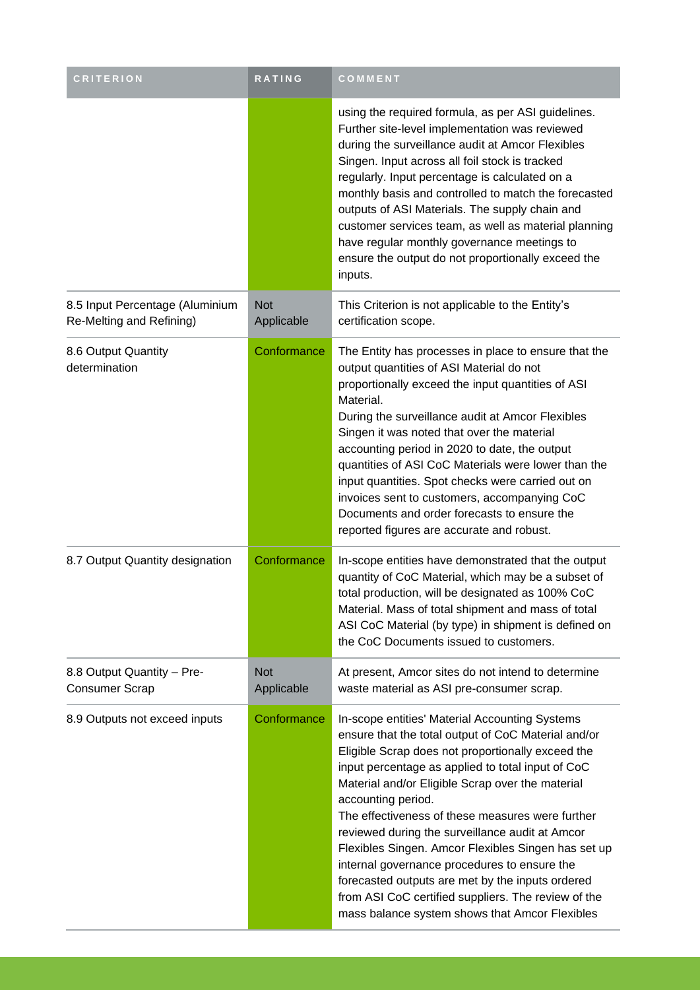| <b>CRITERION</b>                                            | RATING                   | COMMENT                                                                                                                                                                                                                                                                                                                                                                                                                                                                                                                                                                                                                                                              |
|-------------------------------------------------------------|--------------------------|----------------------------------------------------------------------------------------------------------------------------------------------------------------------------------------------------------------------------------------------------------------------------------------------------------------------------------------------------------------------------------------------------------------------------------------------------------------------------------------------------------------------------------------------------------------------------------------------------------------------------------------------------------------------|
|                                                             |                          | using the required formula, as per ASI guidelines.<br>Further site-level implementation was reviewed<br>during the surveillance audit at Amcor Flexibles<br>Singen. Input across all foil stock is tracked<br>regularly. Input percentage is calculated on a<br>monthly basis and controlled to match the forecasted<br>outputs of ASI Materials. The supply chain and<br>customer services team, as well as material planning<br>have regular monthly governance meetings to<br>ensure the output do not proportionally exceed the<br>inputs.                                                                                                                       |
| 8.5 Input Percentage (Aluminium<br>Re-Melting and Refining) | <b>Not</b><br>Applicable | This Criterion is not applicable to the Entity's<br>certification scope.                                                                                                                                                                                                                                                                                                                                                                                                                                                                                                                                                                                             |
| 8.6 Output Quantity<br>determination                        | Conformance              | The Entity has processes in place to ensure that the<br>output quantities of ASI Material do not<br>proportionally exceed the input quantities of ASI<br>Material.<br>During the surveillance audit at Amcor Flexibles<br>Singen it was noted that over the material<br>accounting period in 2020 to date, the output<br>quantities of ASI CoC Materials were lower than the<br>input quantities. Spot checks were carried out on<br>invoices sent to customers, accompanying CoC<br>Documents and order forecasts to ensure the<br>reported figures are accurate and robust.                                                                                        |
| 8.7 Output Quantity designation                             | Conformance              | In-scope entities have demonstrated that the output<br>quantity of CoC Material, which may be a subset of<br>total production, will be designated as 100% CoC<br>Material. Mass of total shipment and mass of total<br>ASI CoC Material (by type) in shipment is defined on<br>the CoC Documents issued to customers.                                                                                                                                                                                                                                                                                                                                                |
| 8.8 Output Quantity - Pre-<br><b>Consumer Scrap</b>         | <b>Not</b><br>Applicable | At present, Amcor sites do not intend to determine<br>waste material as ASI pre-consumer scrap.                                                                                                                                                                                                                                                                                                                                                                                                                                                                                                                                                                      |
| 8.9 Outputs not exceed inputs                               | Conformance              | In-scope entities' Material Accounting Systems<br>ensure that the total output of CoC Material and/or<br>Eligible Scrap does not proportionally exceed the<br>input percentage as applied to total input of CoC<br>Material and/or Eligible Scrap over the material<br>accounting period.<br>The effectiveness of these measures were further<br>reviewed during the surveillance audit at Amcor<br>Flexibles Singen. Amcor Flexibles Singen has set up<br>internal governance procedures to ensure the<br>forecasted outputs are met by the inputs ordered<br>from ASI CoC certified suppliers. The review of the<br>mass balance system shows that Amcor Flexibles |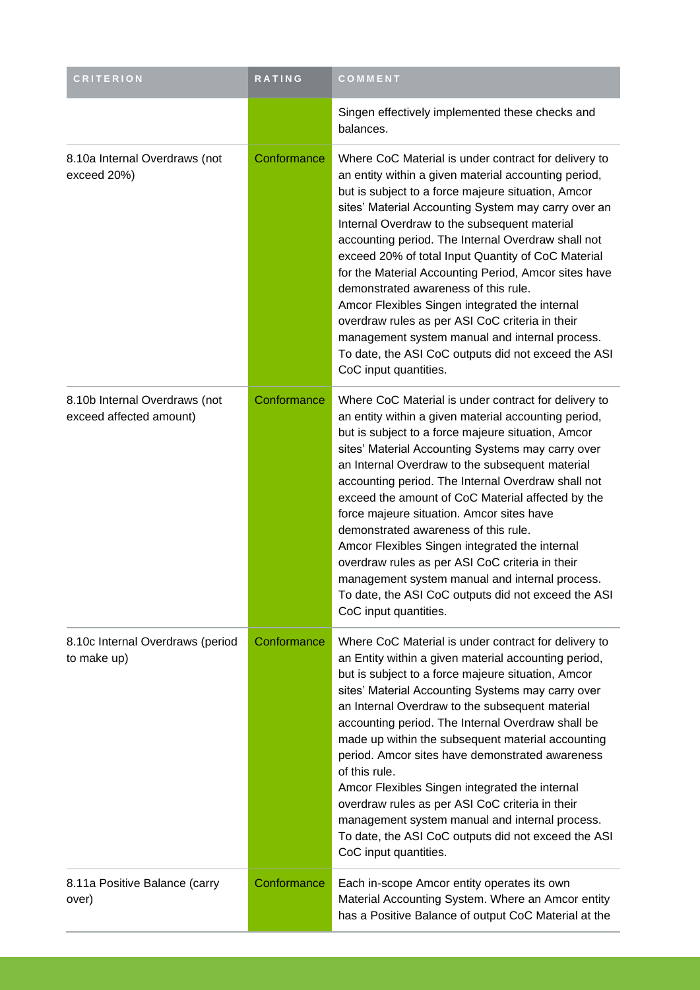| <b>CRITERION</b>                                         | <b>RATING</b> | COMMENT                                                                                                                                                                                                                                                                                                                                                                                                                                                                                                                                                                                                                                                                                                                      |
|----------------------------------------------------------|---------------|------------------------------------------------------------------------------------------------------------------------------------------------------------------------------------------------------------------------------------------------------------------------------------------------------------------------------------------------------------------------------------------------------------------------------------------------------------------------------------------------------------------------------------------------------------------------------------------------------------------------------------------------------------------------------------------------------------------------------|
|                                                          |               | Singen effectively implemented these checks and<br>balances.                                                                                                                                                                                                                                                                                                                                                                                                                                                                                                                                                                                                                                                                 |
| 8.10a Internal Overdraws (not<br>exceed 20%)             | Conformance   | Where CoC Material is under contract for delivery to<br>an entity within a given material accounting period,<br>but is subject to a force majeure situation, Amcor<br>sites' Material Accounting System may carry over an<br>Internal Overdraw to the subsequent material<br>accounting period. The Internal Overdraw shall not<br>exceed 20% of total Input Quantity of CoC Material<br>for the Material Accounting Period, Amcor sites have<br>demonstrated awareness of this rule.<br>Amcor Flexibles Singen integrated the internal<br>overdraw rules as per ASI CoC criteria in their<br>management system manual and internal process.<br>To date, the ASI CoC outputs did not exceed the ASI<br>CoC input quantities. |
| 8.10b Internal Overdraws (not<br>exceed affected amount) | Conformance   | Where CoC Material is under contract for delivery to<br>an entity within a given material accounting period,<br>but is subject to a force majeure situation, Amcor<br>sites' Material Accounting Systems may carry over<br>an Internal Overdraw to the subsequent material<br>accounting period. The Internal Overdraw shall not<br>exceed the amount of CoC Material affected by the<br>force majeure situation. Amcor sites have<br>demonstrated awareness of this rule.<br>Amcor Flexibles Singen integrated the internal<br>overdraw rules as per ASI CoC criteria in their<br>management system manual and internal process.<br>To date, the ASI CoC outputs did not exceed the ASI<br>CoC input quantities.            |
| 8.10c Internal Overdraws (period<br>to make up)          | Conformance   | Where CoC Material is under contract for delivery to<br>an Entity within a given material accounting period,<br>but is subject to a force majeure situation, Amcor<br>sites' Material Accounting Systems may carry over<br>an Internal Overdraw to the subsequent material<br>accounting period. The Internal Overdraw shall be<br>made up within the subsequent material accounting<br>period. Amcor sites have demonstrated awareness<br>of this rule.<br>Amcor Flexibles Singen integrated the internal<br>overdraw rules as per ASI CoC criteria in their<br>management system manual and internal process.<br>To date, the ASI CoC outputs did not exceed the ASI<br>CoC input quantities.                              |
| 8.11a Positive Balance (carry<br>over)                   | Conformance   | Each in-scope Amcor entity operates its own<br>Material Accounting System. Where an Amcor entity<br>has a Positive Balance of output CoC Material at the                                                                                                                                                                                                                                                                                                                                                                                                                                                                                                                                                                     |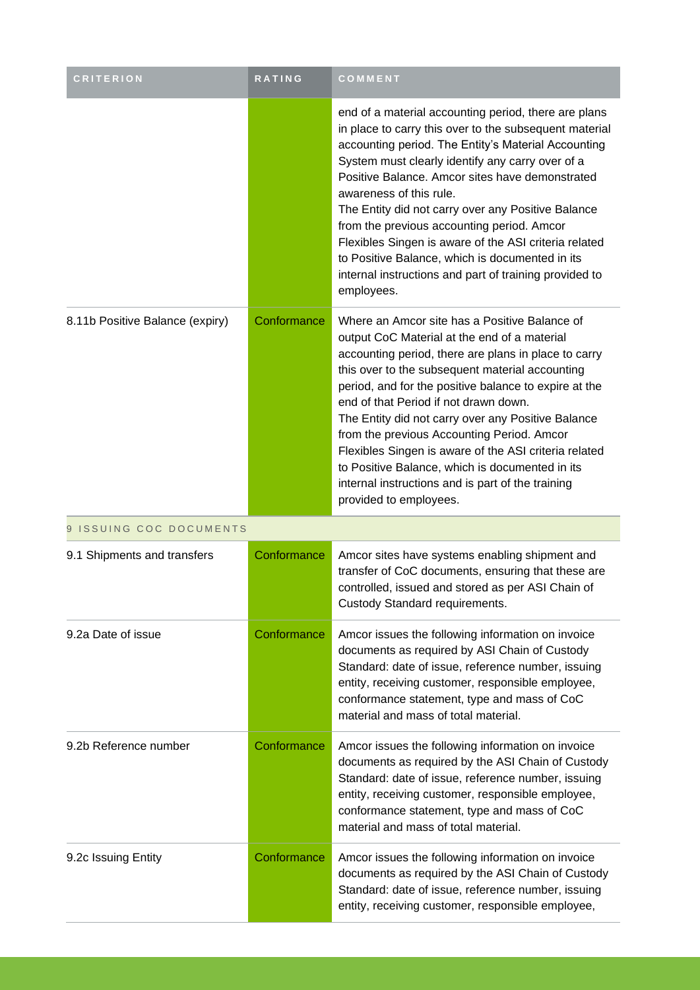| <b>CRITERION</b>                | RATING      | COMMENT                                                                                                                                                                                                                                                                                                                                                                                                                                                                                                                                                                                                   |  |
|---------------------------------|-------------|-----------------------------------------------------------------------------------------------------------------------------------------------------------------------------------------------------------------------------------------------------------------------------------------------------------------------------------------------------------------------------------------------------------------------------------------------------------------------------------------------------------------------------------------------------------------------------------------------------------|--|
|                                 |             | end of a material accounting period, there are plans<br>in place to carry this over to the subsequent material<br>accounting period. The Entity's Material Accounting<br>System must clearly identify any carry over of a<br>Positive Balance. Amcor sites have demonstrated<br>awareness of this rule.<br>The Entity did not carry over any Positive Balance<br>from the previous accounting period. Amcor<br>Flexibles Singen is aware of the ASI criteria related<br>to Positive Balance, which is documented in its<br>internal instructions and part of training provided to<br>employees.           |  |
| 8.11b Positive Balance (expiry) | Conformance | Where an Amcor site has a Positive Balance of<br>output CoC Material at the end of a material<br>accounting period, there are plans in place to carry<br>this over to the subsequent material accounting<br>period, and for the positive balance to expire at the<br>end of that Period if not drawn down.<br>The Entity did not carry over any Positive Balance<br>from the previous Accounting Period. Amcor<br>Flexibles Singen is aware of the ASI criteria related<br>to Positive Balance, which is documented in its<br>internal instructions and is part of the training<br>provided to employees. |  |
| 9 ISSUING COC DOCUMENTS         |             |                                                                                                                                                                                                                                                                                                                                                                                                                                                                                                                                                                                                           |  |
| 9.1 Shipments and transfers     | Conformance | Amcor sites have systems enabling shipment and<br>transfer of CoC documents, ensuring that these are<br>controlled, issued and stored as per ASI Chain of<br>Custody Standard requirements.                                                                                                                                                                                                                                                                                                                                                                                                               |  |
| 9.2a Date of issue              | Conformance | Amcor issues the following information on invoice<br>documents as required by ASI Chain of Custody<br>Standard: date of issue, reference number, issuing<br>entity, receiving customer, responsible employee,<br>conformance statement, type and mass of CoC<br>material and mass of total material.                                                                                                                                                                                                                                                                                                      |  |
| 9.2b Reference number           | Conformance | Amcor issues the following information on invoice<br>documents as required by the ASI Chain of Custody<br>Standard: date of issue, reference number, issuing<br>entity, receiving customer, responsible employee,<br>conformance statement, type and mass of CoC<br>material and mass of total material.                                                                                                                                                                                                                                                                                                  |  |
| 9.2c Issuing Entity             | Conformance | Amcor issues the following information on invoice<br>documents as required by the ASI Chain of Custody<br>Standard: date of issue, reference number, issuing<br>entity, receiving customer, responsible employee,                                                                                                                                                                                                                                                                                                                                                                                         |  |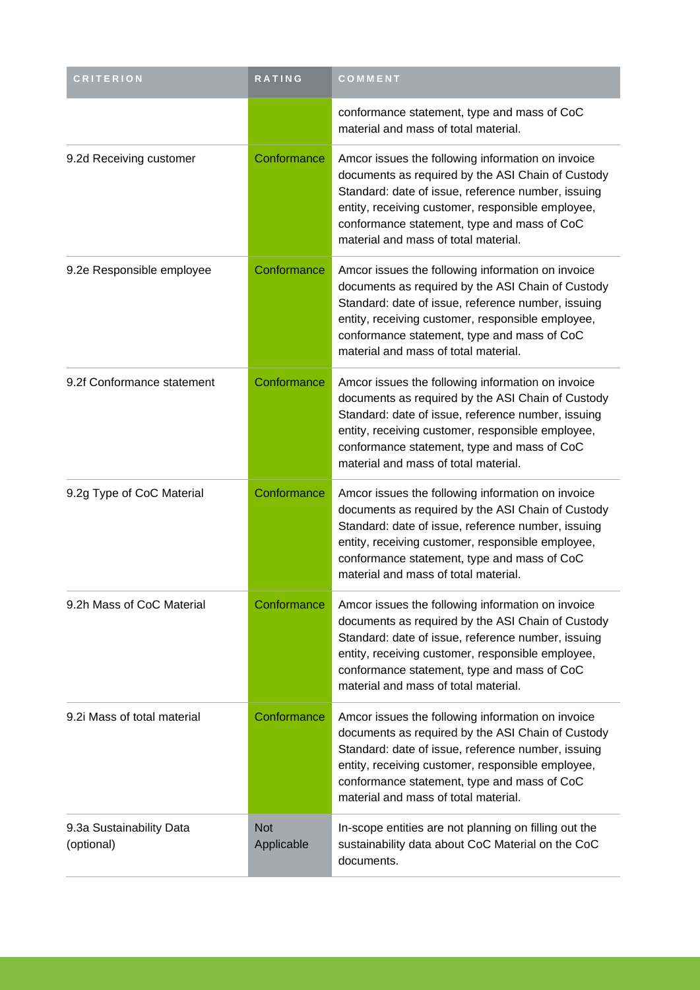| <b>CRITERION</b>                       | RATING                   | COMMENT                                                                                                                                                                                                                                                                                                  |
|----------------------------------------|--------------------------|----------------------------------------------------------------------------------------------------------------------------------------------------------------------------------------------------------------------------------------------------------------------------------------------------------|
|                                        |                          | conformance statement, type and mass of CoC<br>material and mass of total material.                                                                                                                                                                                                                      |
| 9.2d Receiving customer                | Conformance              | Amcor issues the following information on invoice<br>documents as required by the ASI Chain of Custody<br>Standard: date of issue, reference number, issuing<br>entity, receiving customer, responsible employee,<br>conformance statement, type and mass of CoC<br>material and mass of total material. |
| 9.2e Responsible employee              | Conformance              | Amcor issues the following information on invoice<br>documents as required by the ASI Chain of Custody<br>Standard: date of issue, reference number, issuing<br>entity, receiving customer, responsible employee,<br>conformance statement, type and mass of CoC<br>material and mass of total material. |
| 9.2f Conformance statement             | Conformance              | Amcor issues the following information on invoice<br>documents as required by the ASI Chain of Custody<br>Standard: date of issue, reference number, issuing<br>entity, receiving customer, responsible employee,<br>conformance statement, type and mass of CoC<br>material and mass of total material. |
| 9.2g Type of CoC Material              | Conformance              | Amcor issues the following information on invoice<br>documents as required by the ASI Chain of Custody<br>Standard: date of issue, reference number, issuing<br>entity, receiving customer, responsible employee,<br>conformance statement, type and mass of CoC<br>material and mass of total material. |
| 9.2h Mass of CoC Material              | Conformance              | Amcor issues the following information on invoice<br>documents as required by the ASI Chain of Custody<br>Standard: date of issue, reference number, issuing<br>entity, receiving customer, responsible employee,<br>conformance statement, type and mass of CoC<br>material and mass of total material. |
| 9.2i Mass of total material            | Conformance              | Amcor issues the following information on invoice<br>documents as required by the ASI Chain of Custody<br>Standard: date of issue, reference number, issuing<br>entity, receiving customer, responsible employee,<br>conformance statement, type and mass of CoC<br>material and mass of total material. |
| 9.3a Sustainability Data<br>(optional) | <b>Not</b><br>Applicable | In-scope entities are not planning on filling out the<br>sustainability data about CoC Material on the CoC<br>documents.                                                                                                                                                                                 |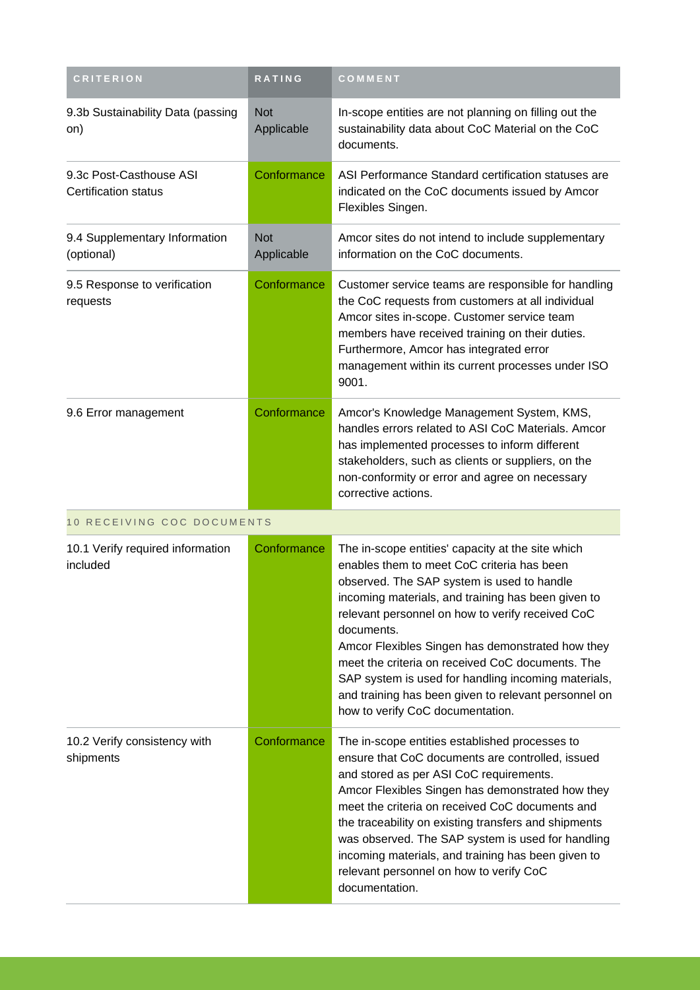| <b>CRITERION</b>                                       | RATING                   | COMMENT                                                                                                                                                                                                                                                                                                                                                                                                                                                                                                                          |  |
|--------------------------------------------------------|--------------------------|----------------------------------------------------------------------------------------------------------------------------------------------------------------------------------------------------------------------------------------------------------------------------------------------------------------------------------------------------------------------------------------------------------------------------------------------------------------------------------------------------------------------------------|--|
| 9.3b Sustainability Data (passing<br>on)               | <b>Not</b><br>Applicable | In-scope entities are not planning on filling out the<br>sustainability data about CoC Material on the CoC<br>documents.                                                                                                                                                                                                                                                                                                                                                                                                         |  |
| 9.3c Post-Casthouse ASI<br><b>Certification status</b> | Conformance              | ASI Performance Standard certification statuses are<br>indicated on the CoC documents issued by Amcor<br>Flexibles Singen.                                                                                                                                                                                                                                                                                                                                                                                                       |  |
| 9.4 Supplementary Information<br>(optional)            | <b>Not</b><br>Applicable | Amcor sites do not intend to include supplementary<br>information on the CoC documents.                                                                                                                                                                                                                                                                                                                                                                                                                                          |  |
| 9.5 Response to verification<br>requests               | Conformance              | Customer service teams are responsible for handling<br>the CoC requests from customers at all individual<br>Amcor sites in-scope. Customer service team<br>members have received training on their duties.<br>Furthermore, Amcor has integrated error<br>management within its current processes under ISO<br>9001.                                                                                                                                                                                                              |  |
| 9.6 Error management                                   | Conformance              | Amcor's Knowledge Management System, KMS,<br>handles errors related to ASI CoC Materials. Amcor<br>has implemented processes to inform different<br>stakeholders, such as clients or suppliers, on the<br>non-conformity or error and agree on necessary<br>corrective actions.                                                                                                                                                                                                                                                  |  |
| 10 RECEIVING COC DOCUMENTS                             |                          |                                                                                                                                                                                                                                                                                                                                                                                                                                                                                                                                  |  |
| 10.1 Verify required information<br>included           | Conformance              | The in-scope entities' capacity at the site which<br>enables them to meet CoC criteria has been<br>observed. The SAP system is used to handle<br>incoming materials, and training has been given to<br>relevant personnel on how to verify received CoC<br>documents.<br>Amcor Flexibles Singen has demonstrated how they<br>meet the criteria on received CoC documents. The<br>SAP system is used for handling incoming materials,<br>and training has been given to relevant personnel on<br>how to verify CoC documentation. |  |
| 10.2 Verify consistency with<br>shipments              | Conformance              | The in-scope entities established processes to<br>ensure that CoC documents are controlled, issued<br>and stored as per ASI CoC requirements.<br>Amcor Flexibles Singen has demonstrated how they<br>meet the criteria on received CoC documents and<br>the traceability on existing transfers and shipments<br>was observed. The SAP system is used for handling<br>incoming materials, and training has been given to<br>relevant personnel on how to verify CoC<br>documentation.                                             |  |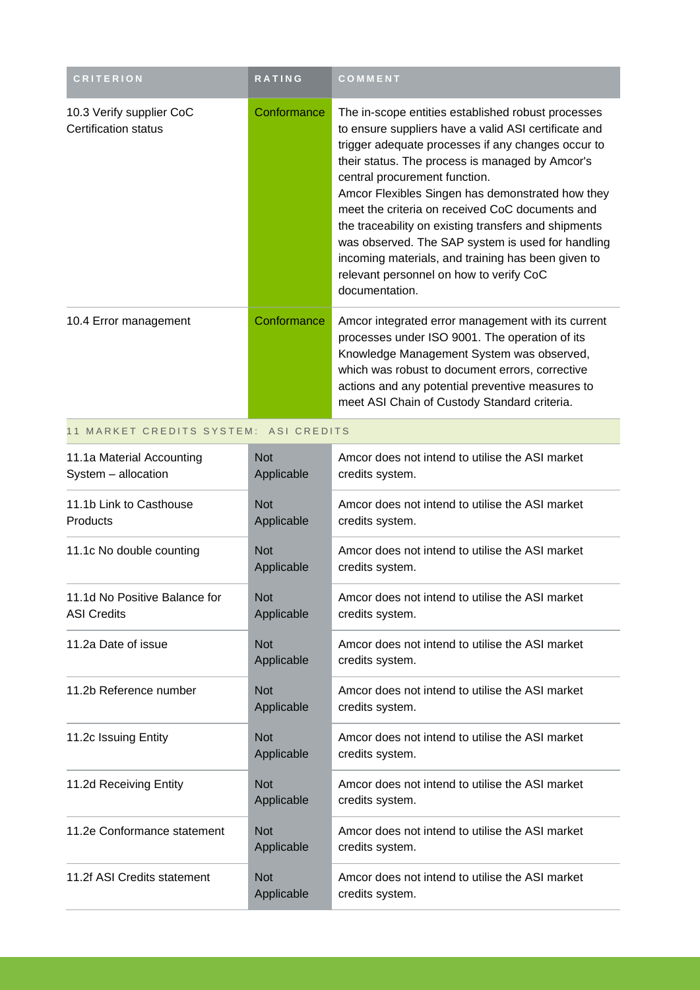| <b>CRITERION</b>                                 | <b>RATING</b> | COMMENT                                                                                                                                                                                                                                                                                                                                                                                                                                                                                                                                                                                     |
|--------------------------------------------------|---------------|---------------------------------------------------------------------------------------------------------------------------------------------------------------------------------------------------------------------------------------------------------------------------------------------------------------------------------------------------------------------------------------------------------------------------------------------------------------------------------------------------------------------------------------------------------------------------------------------|
| 10.3 Verify supplier CoC<br>Certification status | Conformance   | The in-scope entities established robust processes<br>to ensure suppliers have a valid ASI certificate and<br>trigger adequate processes if any changes occur to<br>their status. The process is managed by Amcor's<br>central procurement function.<br>Amcor Flexibles Singen has demonstrated how they<br>meet the criteria on received CoC documents and<br>the traceability on existing transfers and shipments<br>was observed. The SAP system is used for handling<br>incoming materials, and training has been given to<br>relevant personnel on how to verify CoC<br>documentation. |
| 10.4 Error management                            | Conformance   | Amcor integrated error management with its current<br>processes under ISO 9001. The operation of its<br>Knowledge Management System was observed,<br>which was robust to document errors, corrective<br>actions and any potential preventive measures to<br>meet ASI Chain of Custody Standard criteria.                                                                                                                                                                                                                                                                                    |

11 MARKET CREDITS SYSTEM: ASI CREDITS

| 11.1a Material Accounting<br>System - allocation    | <b>Not</b><br>Applicable | Amcor does not intend to utilise the ASI market<br>credits system. |
|-----------------------------------------------------|--------------------------|--------------------------------------------------------------------|
| 11.1b Link to Casthouse<br><b>Products</b>          | <b>Not</b><br>Applicable | Amcor does not intend to utilise the ASI market<br>credits system. |
| 11.1c No double counting                            | <b>Not</b><br>Applicable | Amcor does not intend to utilise the ASI market<br>credits system. |
| 11.1d No Positive Balance for<br><b>ASI Credits</b> | <b>Not</b><br>Applicable | Amcor does not intend to utilise the ASI market<br>credits system. |
| 11.2a Date of issue                                 | <b>Not</b><br>Applicable | Amcor does not intend to utilise the ASI market<br>credits system. |
| 11.2b Reference number                              | <b>Not</b><br>Applicable | Amcor does not intend to utilise the ASI market<br>credits system. |
| 11.2c Issuing Entity                                | <b>Not</b><br>Applicable | Amcor does not intend to utilise the ASI market<br>credits system. |
| 11.2d Receiving Entity                              | <b>Not</b><br>Applicable | Amcor does not intend to utilise the ASI market<br>credits system. |
| 11.2e Conformance statement                         | <b>Not</b><br>Applicable | Amcor does not intend to utilise the ASI market<br>credits system. |
| 11.2f ASI Credits statement                         | <b>Not</b><br>Applicable | Amcor does not intend to utilise the ASI market<br>credits system. |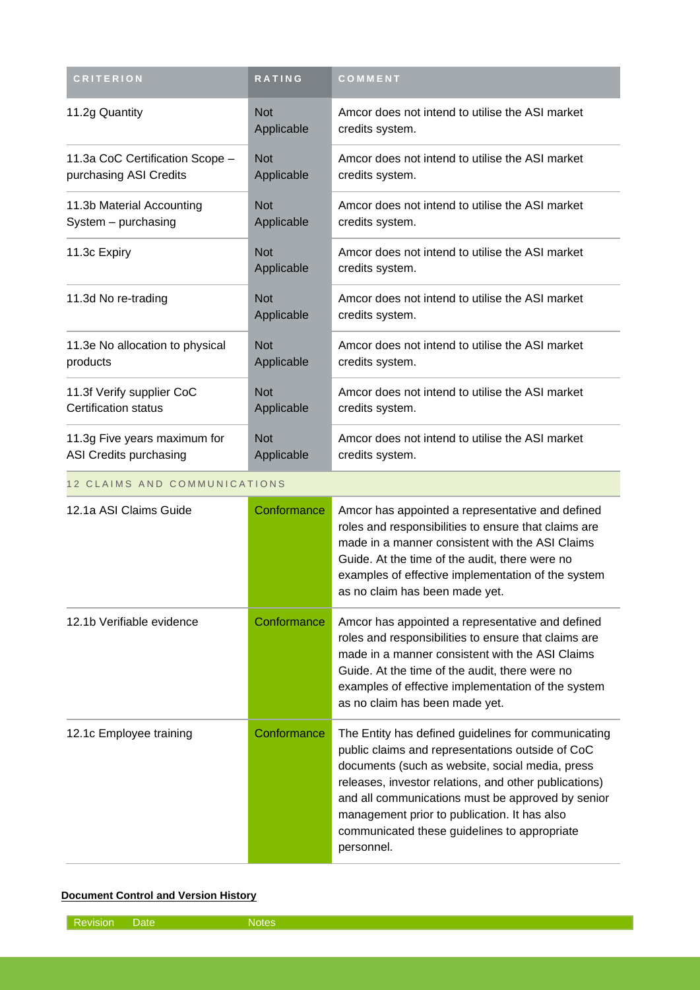| <b>CRITERION</b>                | <b>RATING</b>            | COMMENT                                                            |
|---------------------------------|--------------------------|--------------------------------------------------------------------|
| 11.2g Quantity                  | <b>Not</b><br>Applicable | Amcor does not intend to utilise the ASI market<br>credits system. |
| 11.3a CoC Certification Scope - | <b>Not</b>               | Amcor does not intend to utilise the ASI market                    |
| purchasing ASI Credits          | Applicable               | credits system.                                                    |
| 11.3b Material Accounting       | <b>Not</b>               | Amcor does not intend to utilise the ASI market                    |
| System - purchasing             | Applicable               | credits system.                                                    |
| 11.3c Expiry                    | <b>Not</b><br>Applicable | Amcor does not intend to utilise the ASI market<br>credits system. |
| 11.3d No re-trading             | <b>Not</b><br>Applicable | Amcor does not intend to utilise the ASI market<br>credits system. |
| 11.3e No allocation to physical | <b>Not</b>               | Amcor does not intend to utilise the ASI market                    |
| products                        | Applicable               | credits system.                                                    |
| 11.3f Verify supplier CoC       | <b>Not</b>               | Amcor does not intend to utilise the ASI market                    |
| <b>Certification status</b>     | Applicable               | credits system.                                                    |
| 11.3g Five years maximum for    | <b>Not</b>               | Amcor does not intend to utilise the ASI market                    |
| ASI Credits purchasing          | Applicable               | credits system.                                                    |

#### 12 CLAIMS AND COMMUNICATIONS

| 12.1a ASI Claims Guide    | Conformance | Amcor has appointed a representative and defined<br>roles and responsibilities to ensure that claims are<br>made in a manner consistent with the ASI Claims<br>Guide. At the time of the audit, there were no<br>examples of effective implementation of the system<br>as no claim has been made yet.                                                                                  |
|---------------------------|-------------|----------------------------------------------------------------------------------------------------------------------------------------------------------------------------------------------------------------------------------------------------------------------------------------------------------------------------------------------------------------------------------------|
| 12.1b Verifiable evidence | Conformance | Amcor has appointed a representative and defined<br>roles and responsibilities to ensure that claims are<br>made in a manner consistent with the ASI Claims<br>Guide. At the time of the audit, there were no<br>examples of effective implementation of the system<br>as no claim has been made yet.                                                                                  |
| 12.1c Employee training   | Conformance | The Entity has defined guidelines for communicating<br>public claims and representations outside of CoC<br>documents (such as website, social media, press<br>releases, investor relations, and other publications)<br>and all communications must be approved by senior<br>management prior to publication. It has also<br>communicated these guidelines to appropriate<br>personnel. |

#### **Document Control and Version History**

Revision Date Notes